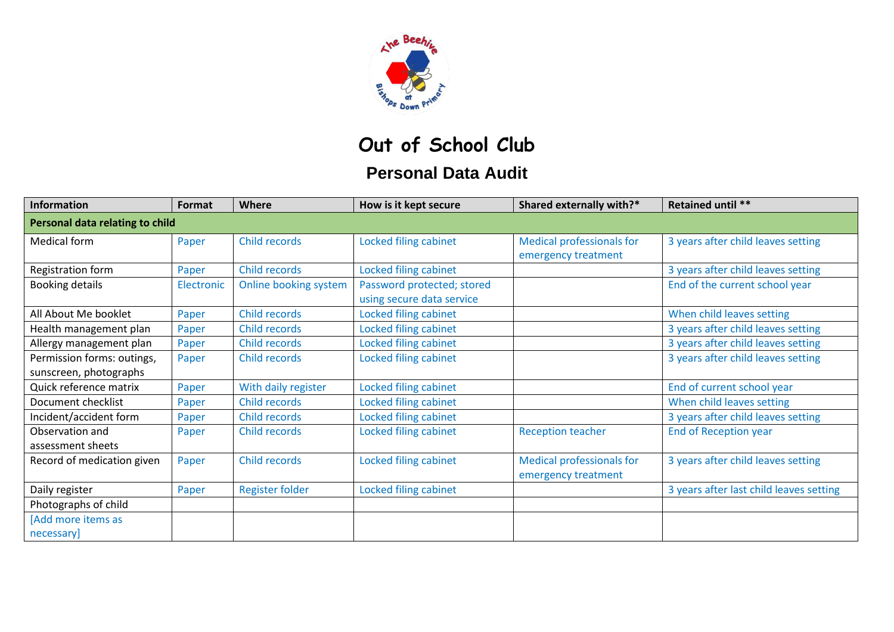

## **Out of School Club**

## **Personal Data Audit**

| <b>Information</b>              | Format     | <b>Where</b>                 | How is it kept secure      | Shared externally with?*                                | <b>Retained until **</b>                |  |
|---------------------------------|------------|------------------------------|----------------------------|---------------------------------------------------------|-----------------------------------------|--|
| Personal data relating to child |            |                              |                            |                                                         |                                         |  |
| Medical form                    | Paper      | Child records                | Locked filing cabinet      | <b>Medical professionals for</b>                        | 3 years after child leaves setting      |  |
|                                 |            |                              |                            | emergency treatment                                     |                                         |  |
| Registration form               | Paper      | Child records                | Locked filing cabinet      |                                                         | 3 years after child leaves setting      |  |
| <b>Booking details</b>          | Electronic | <b>Online booking system</b> | Password protected; stored |                                                         | End of the current school year          |  |
|                                 |            |                              | using secure data service  |                                                         |                                         |  |
| All About Me booklet            | Paper      | Child records                | Locked filing cabinet      |                                                         | When child leaves setting               |  |
| Health management plan          | Paper      | Child records                | Locked filing cabinet      |                                                         | 3 years after child leaves setting      |  |
| Allergy management plan         | Paper      | Child records                | Locked filing cabinet      |                                                         | 3 years after child leaves setting      |  |
| Permission forms: outings,      | Paper      | Child records                | Locked filing cabinet      |                                                         | 3 years after child leaves setting      |  |
| sunscreen, photographs          |            |                              |                            |                                                         |                                         |  |
| Quick reference matrix          | Paper      | With daily register          | Locked filing cabinet      |                                                         | End of current school year              |  |
| Document checklist              | Paper      | Child records                | Locked filing cabinet      |                                                         | When child leaves setting               |  |
| Incident/accident form          | Paper      | Child records                | Locked filing cabinet      |                                                         | 3 years after child leaves setting      |  |
| Observation and                 | Paper      | Child records                | Locked filing cabinet      | <b>Reception teacher</b>                                | <b>End of Reception year</b>            |  |
| assessment sheets               |            |                              |                            |                                                         |                                         |  |
| Record of medication given      | Paper      | Child records                | Locked filing cabinet      | <b>Medical professionals for</b><br>emergency treatment | 3 years after child leaves setting      |  |
| Daily register                  | Paper      | <b>Register folder</b>       | Locked filing cabinet      |                                                         | 3 years after last child leaves setting |  |
| Photographs of child            |            |                              |                            |                                                         |                                         |  |
| [Add more items as              |            |                              |                            |                                                         |                                         |  |
| necessary]                      |            |                              |                            |                                                         |                                         |  |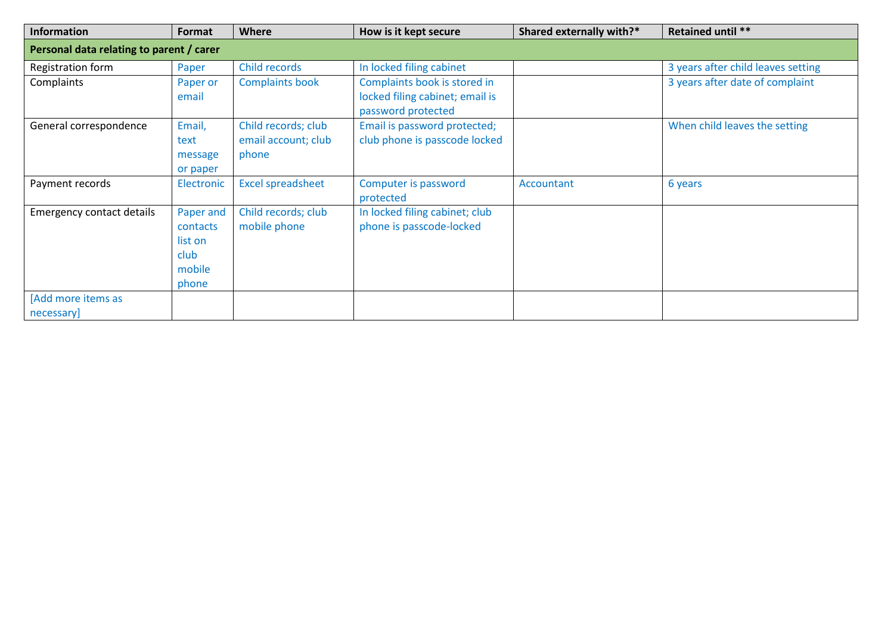| <b>Information</b>                       | Format                                                      | Where                                               | How is it kept secure                                                                 | Shared externally with?* | <b>Retained until **</b>           |
|------------------------------------------|-------------------------------------------------------------|-----------------------------------------------------|---------------------------------------------------------------------------------------|--------------------------|------------------------------------|
| Personal data relating to parent / carer |                                                             |                                                     |                                                                                       |                          |                                    |
| Registration form                        | Paper                                                       | Child records                                       | In locked filing cabinet                                                              |                          | 3 years after child leaves setting |
| Complaints                               | Paper or<br>email                                           | <b>Complaints book</b>                              | Complaints book is stored in<br>locked filing cabinet; email is<br>password protected |                          | 3 years after date of complaint    |
| General correspondence                   | Email,<br>text<br>message<br>or paper                       | Child records; club<br>email account; club<br>phone | Email is password protected;<br>club phone is passcode locked                         |                          | When child leaves the setting      |
| Payment records                          | Electronic                                                  | <b>Excel spreadsheet</b>                            | Computer is password<br>protected                                                     | Accountant               | 6 years                            |
| <b>Emergency contact details</b>         | Paper and<br>contacts<br>list on<br>club<br>mobile<br>phone | Child records; club<br>mobile phone                 | In locked filing cabinet; club<br>phone is passcode-locked                            |                          |                                    |
| Add more items as<br>necessary]          |                                                             |                                                     |                                                                                       |                          |                                    |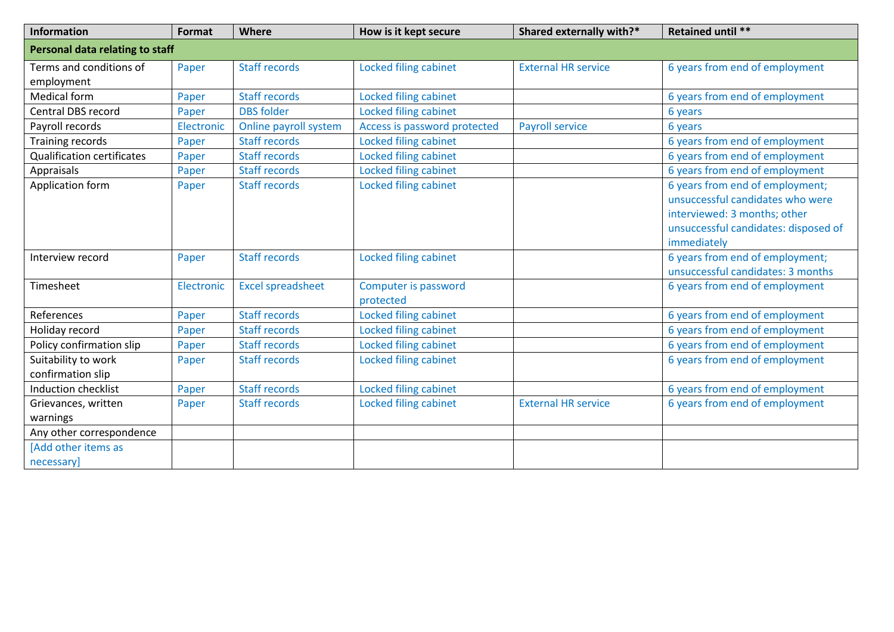| <b>Information</b>                       | Format     | Where                    | How is it kept secure             | Shared externally with?*   | <b>Retained until **</b>                                                                                                                                   |  |
|------------------------------------------|------------|--------------------------|-----------------------------------|----------------------------|------------------------------------------------------------------------------------------------------------------------------------------------------------|--|
| Personal data relating to staff          |            |                          |                                   |                            |                                                                                                                                                            |  |
| Terms and conditions of                  | Paper      | <b>Staff records</b>     | Locked filing cabinet             | <b>External HR service</b> | 6 years from end of employment                                                                                                                             |  |
| employment                               |            |                          |                                   |                            |                                                                                                                                                            |  |
| Medical form                             | Paper      | <b>Staff records</b>     | Locked filing cabinet             |                            | 6 years from end of employment                                                                                                                             |  |
| Central DBS record                       | Paper      | <b>DBS</b> folder        | Locked filing cabinet             |                            | 6 years                                                                                                                                                    |  |
| Payroll records                          | Electronic | Online payroll system    | Access is password protected      | <b>Payroll service</b>     | 6 years                                                                                                                                                    |  |
| Training records                         | Paper      | <b>Staff records</b>     | Locked filing cabinet             |                            | 6 years from end of employment                                                                                                                             |  |
| <b>Qualification certificates</b>        | Paper      | <b>Staff records</b>     | Locked filing cabinet             |                            | 6 years from end of employment                                                                                                                             |  |
| Appraisals                               | Paper      | <b>Staff records</b>     | Locked filing cabinet             |                            | 6 years from end of employment                                                                                                                             |  |
| Application form                         | Paper      | <b>Staff records</b>     | Locked filing cabinet             |                            | 6 years from end of employment;<br>unsuccessful candidates who were<br>interviewed: 3 months; other<br>unsuccessful candidates: disposed of<br>immediately |  |
| Interview record                         | Paper      | <b>Staff records</b>     | Locked filing cabinet             |                            | 6 years from end of employment;<br>unsuccessful candidates: 3 months                                                                                       |  |
| Timesheet                                | Electronic | <b>Excel spreadsheet</b> | Computer is password<br>protected |                            | 6 years from end of employment                                                                                                                             |  |
| References                               | Paper      | <b>Staff records</b>     | Locked filing cabinet             |                            | 6 years from end of employment                                                                                                                             |  |
| Holiday record                           | Paper      | <b>Staff records</b>     | Locked filing cabinet             |                            | 6 years from end of employment                                                                                                                             |  |
| Policy confirmation slip                 | Paper      | <b>Staff records</b>     | Locked filing cabinet             |                            | 6 years from end of employment                                                                                                                             |  |
| Suitability to work<br>confirmation slip | Paper      | <b>Staff records</b>     | Locked filing cabinet             |                            | 6 years from end of employment                                                                                                                             |  |
| Induction checklist                      | Paper      | <b>Staff records</b>     | Locked filing cabinet             |                            | 6 years from end of employment                                                                                                                             |  |
| Grievances, written<br>warnings          | Paper      | <b>Staff records</b>     | Locked filing cabinet             | <b>External HR service</b> | 6 years from end of employment                                                                                                                             |  |
| Any other correspondence                 |            |                          |                                   |                            |                                                                                                                                                            |  |
| [Add other items as                      |            |                          |                                   |                            |                                                                                                                                                            |  |
| necessary]                               |            |                          |                                   |                            |                                                                                                                                                            |  |